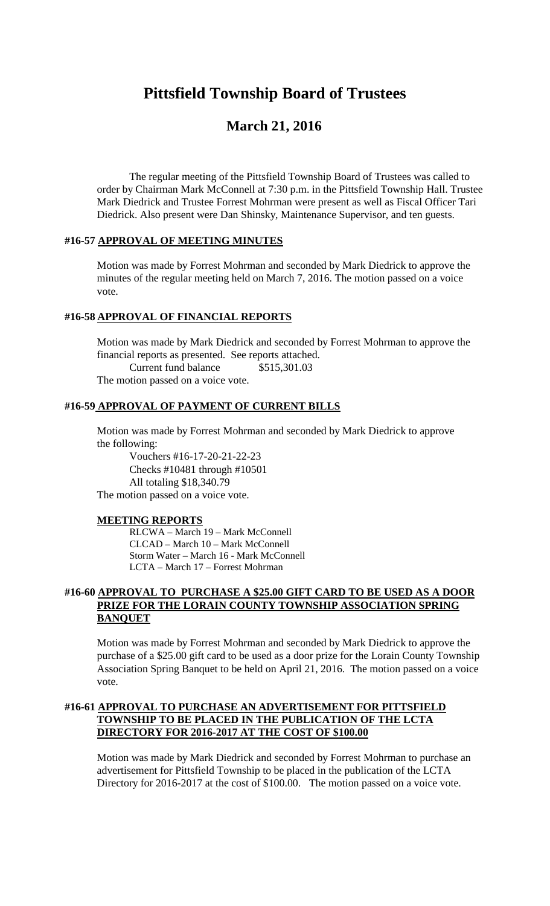# **Pittsfield Township Board of Trustees**

# **March 21, 2016**

The regular meeting of the Pittsfield Township Board of Trustees was called to order by Chairman Mark McConnell at 7:30 p.m. in the Pittsfield Township Hall. Trustee Mark Diedrick and Trustee Forrest Mohrman were present as well as Fiscal Officer Tari Diedrick. Also present were Dan Shinsky, Maintenance Supervisor, and ten guests.

#### **#16-57 APPROVAL OF MEETING MINUTES**

Motion was made by Forrest Mohrman and seconded by Mark Diedrick to approve the minutes of the regular meeting held on March 7, 2016. The motion passed on a voice vote.

#### **#16-58 APPROVAL OF FINANCIAL REPORTS**

Motion was made by Mark Diedrick and seconded by Forrest Mohrman to approve the financial reports as presented. See reports attached. Current fund balance \$515,301.03

The motion passed on a voice vote.

#### **#16-59 APPROVAL OF PAYMENT OF CURRENT BILLS**

Motion was made by Forrest Mohrman and seconded by Mark Diedrick to approve the following:

Vouchers #16-17-20-21-22-23 Checks #10481 through #10501 All totaling \$18,340.79 The motion passed on a voice vote.

#### **MEETING REPORTS**

RLCWA – March 19 – Mark McConnell CLCAD – March 10 – Mark McConnell Storm Water – March 16 - Mark McConnell LCTA – March 17 – Forrest Mohrman

#### **#16-60 APPROVAL TO PURCHASE A \$25.00 GIFT CARD TO BE USED AS A DOOR PRIZE FOR THE LORAIN COUNTY TOWNSHIP ASSOCIATION SPRING BANQUET**

Motion was made by Forrest Mohrman and seconded by Mark Diedrick to approve the purchase of a \$25.00 gift card to be used as a door prize for the Lorain County Township Association Spring Banquet to be held on April 21, 2016. The motion passed on a voice vote.

#### **#16-61 APPROVAL TO PURCHASE AN ADVERTISEMENT FOR PITTSFIELD TOWNSHIP TO BE PLACED IN THE PUBLICATION OF THE LCTA DIRECTORY FOR 2016-2017 AT THE COST OF \$100.00**

Motion was made by Mark Diedrick and seconded by Forrest Mohrman to purchase an advertisement for Pittsfield Township to be placed in the publication of the LCTA Directory for 2016-2017 at the cost of \$100.00. The motion passed on a voice vote.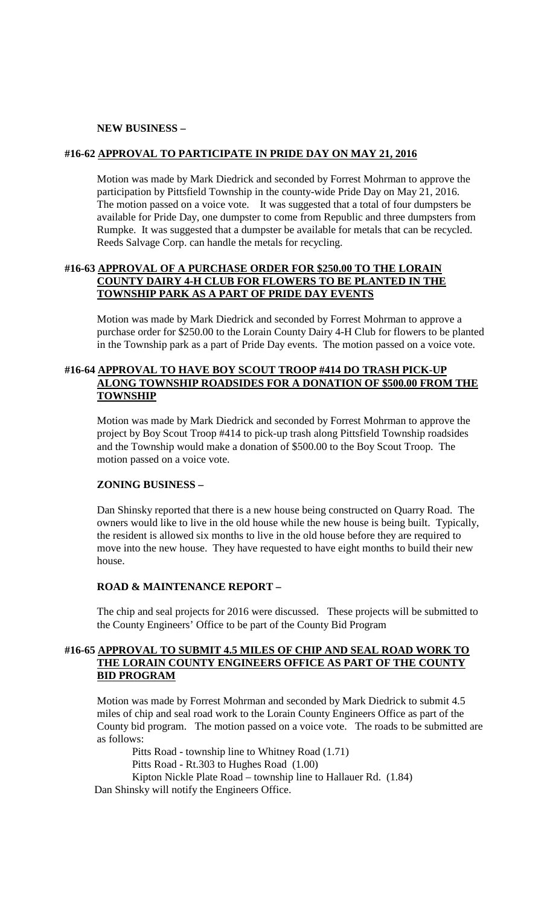#### **NEW BUSINESS –**

#### **#16-62 APPROVAL TO PARTICIPATE IN PRIDE DAY ON MAY 21, 2016**

Motion was made by Mark Diedrick and seconded by Forrest Mohrman to approve the participation by Pittsfield Township in the county-wide Pride Day on May 21, 2016. The motion passed on a voice vote. It was suggested that a total of four dumpsters be available for Pride Day, one dumpster to come from Republic and three dumpsters from Rumpke. It was suggested that a dumpster be available for metals that can be recycled. Reeds Salvage Corp. can handle the metals for recycling.

#### **#16-63 APPROVAL OF A PURCHASE ORDER FOR \$250.00 TO THE LORAIN COUNTY DAIRY 4-H CLUB FOR FLOWERS TO BE PLANTED IN THE TOWNSHIP PARK AS A PART OF PRIDE DAY EVENTS**

Motion was made by Mark Diedrick and seconded by Forrest Mohrman to approve a purchase order for \$250.00 to the Lorain County Dairy 4-H Club for flowers to be planted in the Township park as a part of Pride Day events. The motion passed on a voice vote.

#### **#16-64 APPROVAL TO HAVE BOY SCOUT TROOP #414 DO TRASH PICK-UP ALONG TOWNSHIP ROADSIDES FOR A DONATION OF \$500.00 FROM THE TOWNSHIP**

Motion was made by Mark Diedrick and seconded by Forrest Mohrman to approve the project by Boy Scout Troop #414 to pick-up trash along Pittsfield Township roadsides and the Township would make a donation of \$500.00 to the Boy Scout Troop. The motion passed on a voice vote.

#### **ZONING BUSINESS –**

Dan Shinsky reported that there is a new house being constructed on Quarry Road. The owners would like to live in the old house while the new house is being built. Typically, the resident is allowed six months to live in the old house before they are required to move into the new house. They have requested to have eight months to build their new house.

#### **ROAD & MAINTENANCE REPORT –**

The chip and seal projects for 2016 were discussed. These projects will be submitted to the County Engineers' Office to be part of the County Bid Program

#### **#16-65 APPROVAL TO SUBMIT 4.5 MILES OF CHIP AND SEAL ROAD WORK TO THE LORAIN COUNTY ENGINEERS OFFICE AS PART OF THE COUNTY BID PROGRAM**

Motion was made by Forrest Mohrman and seconded by Mark Diedrick to submit 4.5 miles of chip and seal road work to the Lorain County Engineers Office as part of the County bid program. The motion passed on a voice vote. The roads to be submitted are as follows:

Pitts Road - township line to Whitney Road (1.71) Pitts Road - Rt.303 to Hughes Road (1.00) Kipton Nickle Plate Road – township line to Hallauer Rd. (1.84) Dan Shinsky will notify the Engineers Office.